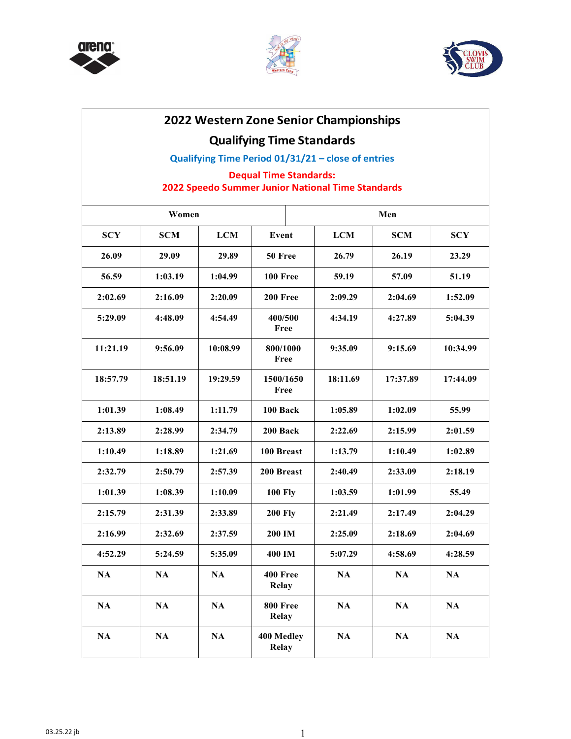





## **2022 Western Zone Senior Championships**

## **Qualifying Time Standards**

**Qualifying Time Period 01/31/21 – close of entries**

### **Dequal Time Standards: 2022 Speedo Summer Junior National Time Standards**

| Women      |               |               |                            | Men           |               |               |  |
|------------|---------------|---------------|----------------------------|---------------|---------------|---------------|--|
| <b>SCY</b> | <b>SCM</b>    | <b>LCM</b>    | Event                      | <b>LCM</b>    | <b>SCM</b>    | <b>SCY</b>    |  |
| 26.09      | 29.09         | 29.89         | 50 Free                    | 26.79         | 26.19         | 23.29         |  |
| 56.59      | 1:03.19       | 1:04.99       | <b>100 Free</b>            | 59.19         | 57.09         | 51.19         |  |
| 2:02.69    | 2:16.09       | 2:20.09       | 200 Free                   | 2:09.29       | 2:04.69       | 1:52.09       |  |
| 5:29.09    | 4:48.09       | 4:54.49       | 400/500<br>Free            | 4:34.19       | 4:27.89       | 5:04.39       |  |
| 11:21.19   | 9:56.09       | 10:08.99      | 800/1000<br>Free           | 9:35.09       | 9:15.69       | 10:34.99      |  |
| 18:57.79   | 18:51.19      | 19:29.59      | 1500/1650<br>Free          | 18:11.69      | 17:37.89      | 17:44.09      |  |
| 1:01.39    | 1:08.49       | 1:11.79       | 100 Back                   | 1:05.89       | 1:02.09       | 55.99         |  |
| 2:13.89    | 2:28.99       | 2:34.79       | 200 Back                   | 2:22.69       | 2:15.99       | 2:01.59       |  |
| 1:10.49    | 1:18.89       | 1:21.69       | 100 Breast                 | 1:13.79       | 1:10.49       | 1:02.89       |  |
| 2:32.79    | 2:50.79       | 2:57.39       | 200 Breast                 | 2:40.49       | 2:33.09       | 2:18.19       |  |
| 1:01.39    | 1:08.39       | 1:10.09       | <b>100 Fly</b>             | 1:03.59       | 1:01.99       | 55.49         |  |
| 2:15.79    | 2:31.39       | 2:33.89       | <b>200 Fly</b>             | 2:21.49       | 2:17.49       | 2:04.29       |  |
| 2:16.99    | 2:32.69       | 2:37.59       | 200 IM                     | 2:25.09       | 2:18.69       | 2:04.69       |  |
| 4:52.29    | 5:24.59       | 5:35.09       | 400 IM                     | 5:07.29       | 4:58.69       | 4:28.59       |  |
| NA         | $\mathbf{NA}$ | NA            | 400 Free<br><b>Relay</b>   | $\mathbf{NA}$ | NA            | $\mathbf{NA}$ |  |
| NA         | NA            | NA            | 800 Free<br><b>Relay</b>   | NA            | NA            | $\mathbf{NA}$ |  |
| NA         | $\mathbf{NA}$ | $\mathbf{NA}$ | 400 Medley<br><b>Relay</b> | $\mathbf{NA}$ | $\mathbf{NA}$ | $\mathbf{NA}$ |  |